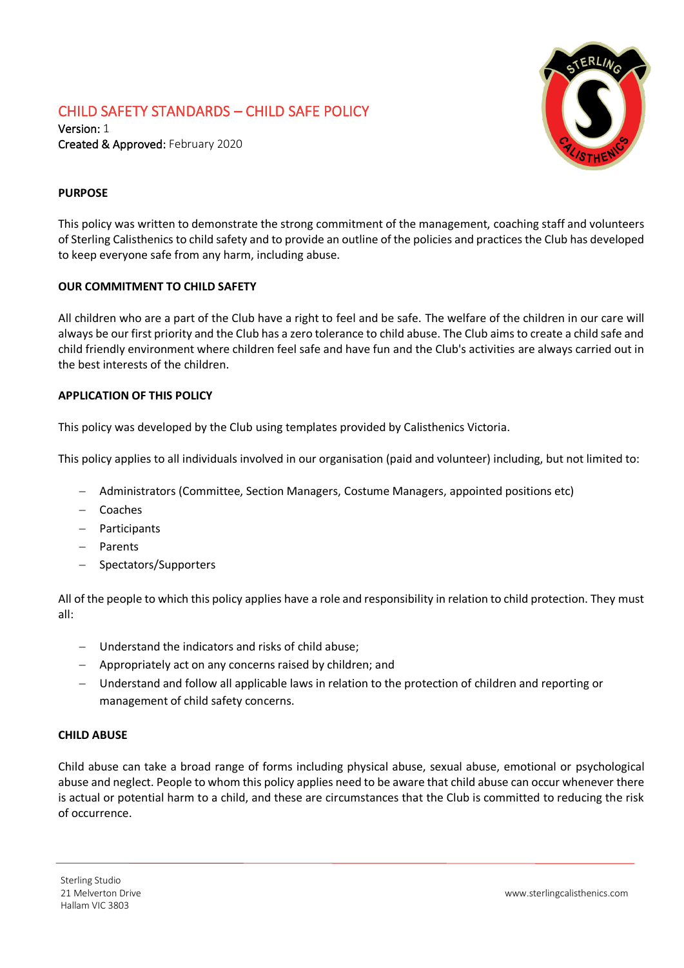# CHILD SAFETY STANDARDS – CHILD SAFE POLICY



Version: 1 Created & Approved: February 2020

# **PURPOSE**

This policy was written to demonstrate the strong commitment of the management, coaching staff and volunteers of Sterling Calisthenics to child safety and to provide an outline of the policies and practices the Club has developed to keep everyone safe from any harm, including abuse.

# **OUR COMMITMENT TO CHILD SAFETY**

All children who are a part of the Club have a right to feel and be safe. The welfare of the children in our care will always be our first priority and the Club has a zero tolerance to child abuse. The Club aims to create a child safe and child friendly environment where children feel safe and have fun and the Club's activities are always carried out in the best interests of the children.

### **APPLICATION OF THIS POLICY**

This policy was developed by the Club using templates provided by Calisthenics Victoria.

This policy applies to all individuals involved in our organisation (paid and volunteer) including, but not limited to:

- − Administrators (Committee, Section Managers, Costume Managers, appointed positions etc)
- − Coaches
- − Participants
- − Parents
- − Spectators/Supporters

All of the people to which this policy applies have a role and responsibility in relation to child protection. They must all:

- − Understand the indicators and risks of child abuse;
- − Appropriately act on any concerns raised by children; and
- − Understand and follow all applicable laws in relation to the protection of children and reporting or management of child safety concerns.

### **CHILD ABUSE**

Child abuse can take a broad range of forms including physical abuse, sexual abuse, emotional or psychological abuse and neglect. People to whom this policy applies need to be aware that child abuse can occur whenever there is actual or potential harm to a child, and these are circumstances that the Club is committed to reducing the risk of occurrence.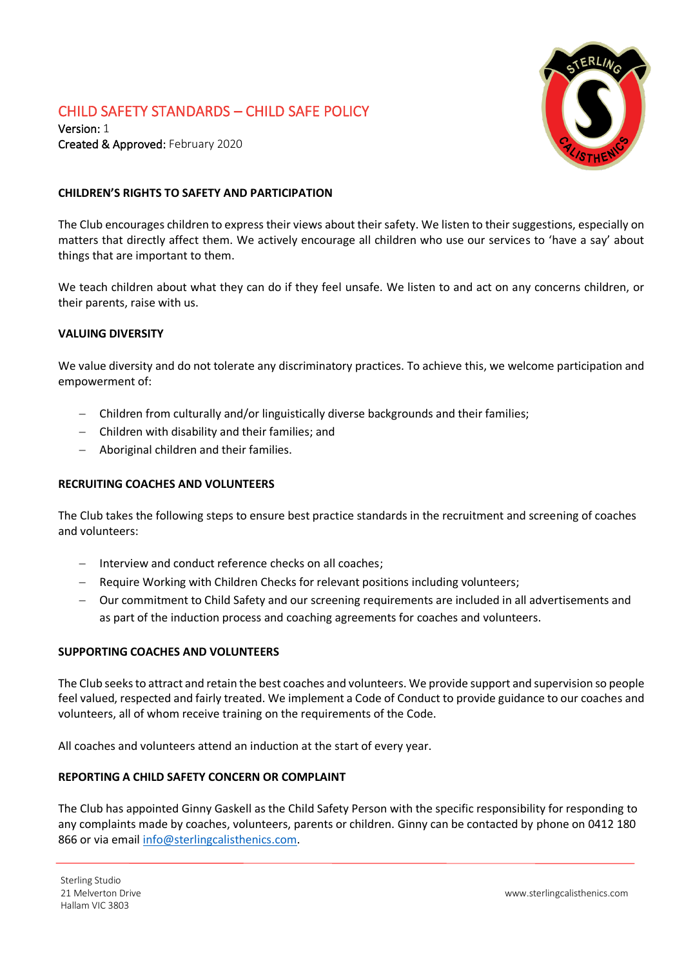# CHILD SAFETY STANDARDS – CHILD SAFE POLICY

Version: 1 Created & Approved: February 2020



## **CHILDREN'S RIGHTS TO SAFETY AND PARTICIPATION**

The Club encourages children to express their views about their safety. We listen to their suggestions, especially on matters that directly affect them. We actively encourage all children who use our services to 'have a say' about things that are important to them.

We teach children about what they can do if they feel unsafe. We listen to and act on any concerns children, or their parents, raise with us.

#### **VALUING DIVERSITY**

We value diversity and do not tolerate any discriminatory practices. To achieve this, we welcome participation and empowerment of:

- − Children from culturally and/or linguistically diverse backgrounds and their families;
- − Children with disability and their families; and
- − Aboriginal children and their families.

#### **RECRUITING COACHES AND VOLUNTEERS**

The Club takes the following steps to ensure best practice standards in the recruitment and screening of coaches and volunteers:

- − Interview and conduct reference checks on all coaches;
- Require Working with Children Checks for relevant positions including volunteers;
- − Our commitment to Child Safety and our screening requirements are included in all advertisements and as part of the induction process and coaching agreements for coaches and volunteers.

#### **SUPPORTING COACHES AND VOLUNTEERS**

The Club seeks to attract and retain the best coaches and volunteers. We provide support and supervision so people feel valued, respected and fairly treated. We implement a Code of Conduct to provide guidance to our coaches and volunteers, all of whom receive training on the requirements of the Code.

All coaches and volunteers attend an induction at the start of every year.

#### **REPORTING A CHILD SAFETY CONCERN OR COMPLAINT**

The Club has appointed Ginny Gaskell as the Child Safety Person with the specific responsibility for responding to any complaints made by coaches, volunteers, parents or children. Ginny can be contacted by phone on 0412 180 866 or via email [info@sterlingcalisthenics.com.](mailto:info@sterlingcalisthenics.com)